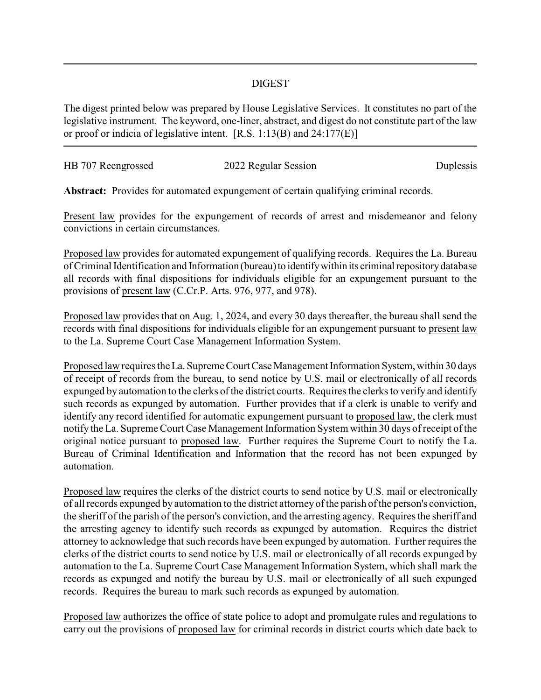## DIGEST

The digest printed below was prepared by House Legislative Services. It constitutes no part of the legislative instrument. The keyword, one-liner, abstract, and digest do not constitute part of the law or proof or indicia of legislative intent. [R.S. 1:13(B) and 24:177(E)]

| HB 707 Reengrossed | 2022 Regular Session | Duplessis |
|--------------------|----------------------|-----------|
|                    |                      |           |

**Abstract:** Provides for automated expungement of certain qualifying criminal records.

Present law provides for the expungement of records of arrest and misdemeanor and felony convictions in certain circumstances.

Proposed law provides for automated expungement of qualifying records. Requires the La. Bureau of Criminal Identification and Information (bureau) to identify within its criminal repository database all records with final dispositions for individuals eligible for an expungement pursuant to the provisions of present law (C.Cr.P. Arts. 976, 977, and 978).

Proposed law provides that on Aug. 1, 2024, and every 30 days thereafter, the bureau shall send the records with final dispositions for individuals eligible for an expungement pursuant to present law to the La. Supreme Court Case Management Information System.

Proposed law requires the La. Supreme Court Case Management Information System, within 30 days of receipt of records from the bureau, to send notice by U.S. mail or electronically of all records expunged by automation to the clerks of the district courts. Requires the clerks to verify and identify such records as expunged by automation. Further provides that if a clerk is unable to verify and identify any record identified for automatic expungement pursuant to proposed law, the clerk must notify the La. Supreme Court Case Management Information System within 30 days of receipt of the original notice pursuant to proposed law. Further requires the Supreme Court to notify the La. Bureau of Criminal Identification and Information that the record has not been expunged by automation.

Proposed law requires the clerks of the district courts to send notice by U.S. mail or electronically of all records expunged by automation to the district attorneyof the parish of the person's conviction, the sheriff of the parish of the person's conviction, and the arresting agency. Requires the sheriff and the arresting agency to identify such records as expunged by automation. Requires the district attorney to acknowledge that such records have been expunged by automation. Further requires the clerks of the district courts to send notice by U.S. mail or electronically of all records expunged by automation to the La. Supreme Court Case Management Information System, which shall mark the records as expunged and notify the bureau by U.S. mail or electronically of all such expunged records. Requires the bureau to mark such records as expunged by automation.

Proposed law authorizes the office of state police to adopt and promulgate rules and regulations to carry out the provisions of proposed law for criminal records in district courts which date back to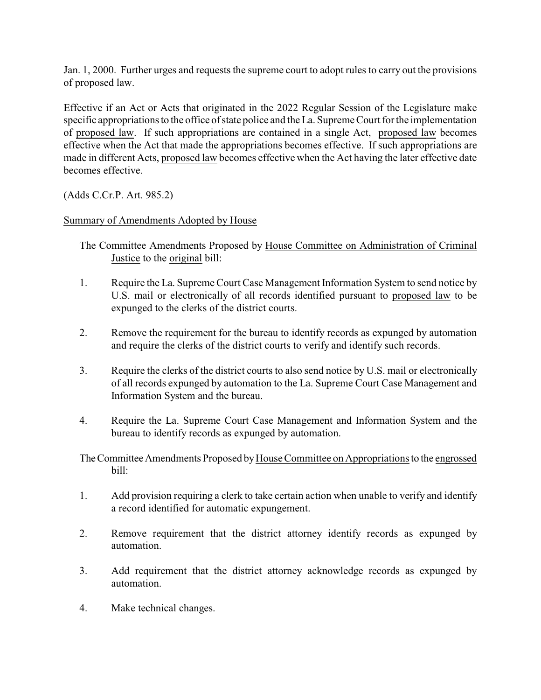Jan. 1, 2000. Further urges and requests the supreme court to adopt rules to carry out the provisions of proposed law.

Effective if an Act or Acts that originated in the 2022 Regular Session of the Legislature make specific appropriations to the office of state police and the La. Supreme Court for the implementation of proposed law. If such appropriations are contained in a single Act, proposed law becomes effective when the Act that made the appropriations becomes effective. If such appropriations are made in different Acts, proposed law becomes effective when the Act having the later effective date becomes effective.

(Adds C.Cr.P. Art. 985.2)

Summary of Amendments Adopted by House

The Committee Amendments Proposed by House Committee on Administration of Criminal Justice to the original bill:

- 1. Require the La. Supreme Court Case Management Information System to send notice by U.S. mail or electronically of all records identified pursuant to proposed law to be expunged to the clerks of the district courts.
- 2. Remove the requirement for the bureau to identify records as expunged by automation and require the clerks of the district courts to verify and identify such records.
- 3. Require the clerks of the district courts to also send notice by U.S. mail or electronically of all records expunged by automation to the La. Supreme Court Case Management and Information System and the bureau.
- 4. Require the La. Supreme Court Case Management and Information System and the bureau to identify records as expunged by automation.

The Committee Amendments Proposed by House Committee on Appropriations to the engrossed bill:

- 1. Add provision requiring a clerk to take certain action when unable to verify and identify a record identified for automatic expungement.
- 2. Remove requirement that the district attorney identify records as expunged by automation.
- 3. Add requirement that the district attorney acknowledge records as expunged by automation.
- 4. Make technical changes.